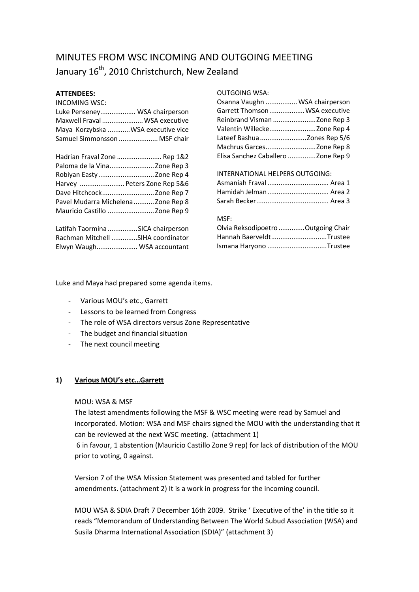# MINUTES FROM WSC INCOMING AND OUTGOING MEETING January 16<sup>th</sup>, 2010 Christchurch, New Zealand

## **ATTENDEES:**

| Luke Penseney WSA chairperson     |
|-----------------------------------|
| Maxwell Fraval  WSA executive     |
| Maya Korzybska WSA executive vice |
| Samuel Simmonsson  MSF chair      |
|                                   |

| Hadrian Fraval Zone  Rep 1&2        |  |
|-------------------------------------|--|
|                                     |  |
|                                     |  |
| Harvey  Peters Zone Rep 5&6         |  |
|                                     |  |
| Pavel Mudarra Michelena  Zone Rep 8 |  |
| Mauricio Castillo  Zone Rep 9       |  |
|                                     |  |

| Latifah Taormina SICA chairperson |
|-----------------------------------|
| Rachman Mitchell SIHA coordinator |
| Elwyn Waugh WSA accountant        |

#### OUTGOING WSA:

| Osanna Vaughn  WSA chairperson      |  |
|-------------------------------------|--|
| Garrett Thomson WSA executive       |  |
|                                     |  |
|                                     |  |
|                                     |  |
|                                     |  |
| Elisa Sanchez Caballero  Zone Rep 9 |  |

INTERNATIONAL HELPERS OUTGOING:

| Asmaniah Fraval  Area 1 |  |
|-------------------------|--|
| Hamidah Jelman Area 2   |  |
|                         |  |

## MSF:

| Olvia Reksodipoetro Outgoing Chair |  |
|------------------------------------|--|
| Hannah BaerveldtTrustee            |  |
| Ismana Haryono Trustee             |  |

Luke and Maya had prepared some agenda items.

- Various MOU's etc., Garrett
- Lessons to be learned from Congress
- The role of WSA directors versus Zone Representative
- The budget and financial situation
- The next council meeting

## **1) Various MOU's etc…Garrett**

## MOU: WSA & MSF

The latest amendments following the MSF & WSC meeting were read by Samuel and incorporated. Motion: WSA and MSF chairs signed the MOU with the understanding that it can be reviewed at the next WSC meeting. (attachment 1) 6 in favour, 1 abstention (Mauricio Castillo Zone 9 rep) for lack of distribution of the MOU prior to voting, 0 against.

Version 7 of the WSA Mission Statement was presented and tabled for further amendments. (attachment 2) It is a work in progress for the incoming council.

MOU WSA & SDIA Draft 7 December 16th 2009. Strike ' Executive of the' in the title so it reads "Memorandum of Understanding Between The World Subud Association (WSA) and Susila Dharma International Association (SDIA)" (attachment 3)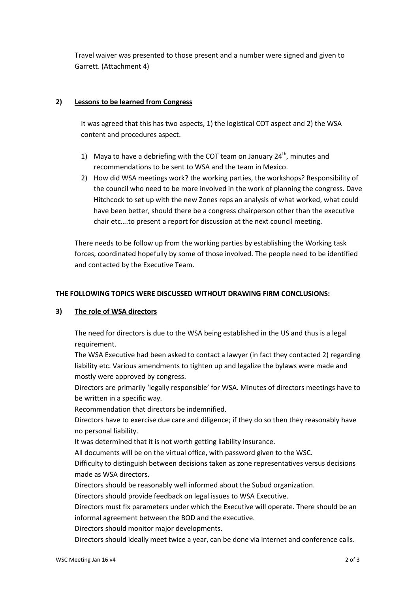Travel waiver was presented to those present and a number were signed and given to Garrett. (Attachment 4)

## **2) Lessons to be learned from Congress**

It was agreed that this has two aspects, 1) the logistical COT aspect and 2) the WSA content and procedures aspect.

- 1) Maya to have a debriefing with the COT team on January  $24<sup>th</sup>$ , minutes and recommendations to be sent to WSA and the team in Mexico.
- 2) How did WSA meetings work? the working parties, the workshops? Responsibility of the council who need to be more involved in the work of planning the congress. Dave Hitchcock to set up with the new Zones reps an analysis of what worked, what could have been better, should there be a congress chairperson other than the executive chair etc….to present a report for discussion at the next council meeting.

There needs to be follow up from the working parties by establishing the Working task forces, coordinated hopefully by some of those involved. The people need to be identified and contacted by the Executive Team.

## **THE FOLLOWING TOPICS WERE DISCUSSED WITHOUT DRAWING FIRM CONCLUSIONS:**

## **3) The role of WSA directors**

The need for directors is due to the WSA being established in the US and thus is a legal requirement.

The WSA Executive had been asked to contact a lawyer (in fact they contacted 2) regarding liability etc. Various amendments to tighten up and legalize the bylaws were made and mostly were approved by congress.

Directors are primarily 'legally responsible' for WSA. Minutes of directors meetings have to be written in a specific way.

Recommendation that directors be indemnified.

Directors have to exercise due care and diligence; if they do so then they reasonably have no personal liability.

It was determined that it is not worth getting liability insurance.

All documents will be on the virtual office, with password given to the WSC.

Difficulty to distinguish between decisions taken as zone representatives versus decisions made as WSA directors.

Directors should be reasonably well informed about the Subud organization.

Directors should provide feedback on legal issues to WSA Executive.

Directors must fix parameters under which the Executive will operate. There should be an informal agreement between the BOD and the executive.

Directors should monitor major developments.

Directors should ideally meet twice a year, can be done via internet and conference calls.